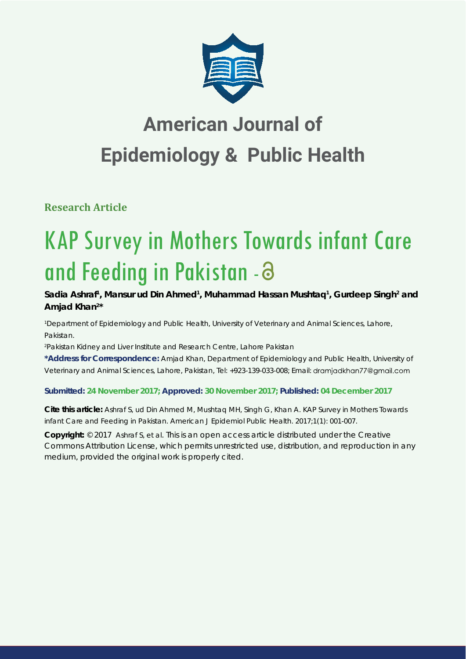

## **American Journal of Epidemiology & Public Health**

**Research Article**

# KAP Survey in Mothers Towards infant Care and Feeding in Pakistan -

Sadia Ashraf<sup>1</sup>, Mansur ud Din Ahmed<sup>1</sup>, Muhammad Hassan Mushtaq<sup>1</sup>, Gurdeep Singh<sup>2</sup> and **Amjad Khan2 \*** 

*1 Department of Epidemiology and Public Health, University of Veterinary and Animal Sciences, Lahore, Pakistan.*

*2 Pakistan Kidney and Liver Institute and Research Centre, Lahore Pakistan*

**\*Address for Correspondence:** Amjad Khan, Department of Epidemiology and Public Health, University of Veterinary and Animal Sciences, Lahore, Pakistan, Tel: +923-139-033-008; Email:

## **Submitted: 24 November 2017; Approved: 30 November 2017; Published: 04 December 2017**

**Cite this article:** Ashraf S, ud Din Ahmed M, Mushtaq MH, Singh G, Khan A. KAP Survey in Mothers Towards infant Care and Feeding in Pakistan. American J Epidemiol Public Health. 2017;1(1): 001-007.

**Copyright:** © 2017 Ashraf S, et al. This is an open access article distributed under the Creative Commons Attribution License, which permits unrestricted use, distribution, and reproduction in any medium, provided the original work is properly cited.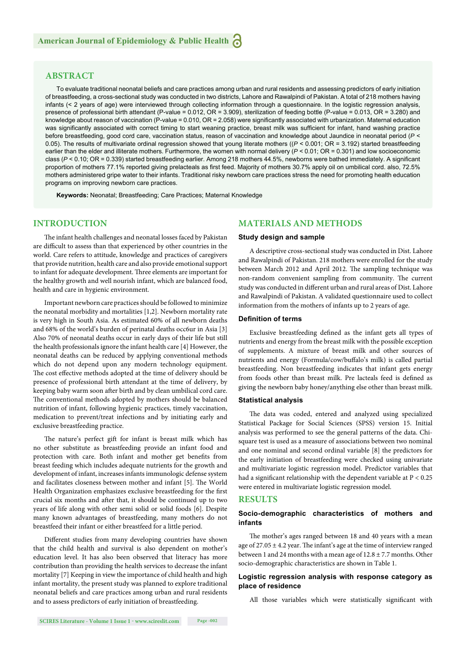## **ABSTRACT**

To evaluate traditional neonatal beliefs and care practices among urban and rural residents and assessing predictors of early initiation of breastfeeding, a cross-sectional study was conducted in two districts, Lahore and Rawalpindi of Pakistan. A total of 218 mothers having infants (< 2 years of age) were interviewed through collecting information through a questionnaire. In the logistic regression analysis, presence of professional birth attendant (P-value = 0.012, OR = 3.909), sterilization of feeding bottle (P-value = 0.013, OR = 3.280) and knowledge about reason of vaccination (P-value = 0.010, OR = 2.058) were significantly associated with urbanization. Maternal education was significantly associated with correct timing to start weaning practice, breast milk was sufficient for infant, hand washing practice before breastfeeding, good cord care, vaccination status, reason of vaccination and knowledge about Jaundice in neonatal period (*P* < 0.05). The results of multivariate ordinal regression showed that young literate mothers ((*P* < 0.001; OR = 3.192) started breastfeeding earlier than the elder and illiterate mothers. Furthermore, the women with normal delivery ( $P < 0.01$ ; OR = 0.301) and low socioeconomic class ( $P$  < 0.10; OR = 0.339) started breastfeeding earlier. Among 218 mothers 44.5%, newborns were bathed immediately. A significant proportion of mothers 77.1% reported giving prelacteals as first feed. Majority of mothers 30.7% apply oil on umbilical cord. also, 72.5% mothers administered gripe water to their infants. Traditional risky newborn care practices stress the need for promoting health education programs on improving newborn care practices.

**Keywords:** Neonatal; Breastfeeding; Care Practices; Maternal Knowledge

## **INTRODUCTION**

The infant health challenges and neonatal losses faced by Pakistan are difficult to assess than that experienced by other countries in the world. Care refers to attitude, knowledge and practices of caregivers that provide nutrition, health care and also provide emotional support to infant for adequate development. Three elements are important for the healthy growth and well nourish infant, which are balanced food, health and care in hygienic environment.

Important newborn care practices should be followed to minimize the neonatal morbidity and mortalities [1,2]. Newborn mortality rate is very high in South Asia. As estimated 60% of all newborn deaths and 68% of the world's burden of perinatal deaths occ6ur in Asia [3] Also 70% of neonatal deaths occur in early days of their life but still the health professionals ignore the infant health care [4] However, the neonatal deaths can be reduced by applying conventional methods which do not depend upon any modern technology equipment. The cost effective methods adopted at the time of delivery should be presence of professional birth attendant at the time of delivery, by keeping baby warm soon after birth and by clean umbilical cord care. The conventional methods adopted by mothers should be balanced nutrition of infant, following hygienic practices, timely vaccination, medication to prevent/treat infections and by initiating early and exclusive breastfeeding practice.

The nature's perfect gift for infant is breast milk which has no other substitute as breastfeeding provide an infant food and protection with care. Both infant and mother get benefits from breast feeding which includes adequate nutrients for the growth and development of infant, increases infants immunologic defense system and facilitates closeness between mother and infant [5]. The World Health Organization emphasizes exclusive breastfeeding for the first crucial six months and after that, it should be continued up to two years of life along with other semi solid or solid foods [6]. Despite many known advantages of breastfeeding, many mothers do not breastfeed their infant or either breastfeed for a little period.

Different studies from many developing countries have shown that the child health and survival is also dependent on mother's education level. It has also been observed that literacy has more contribution than providing the health services to decrease the infant mortality [7] Keeping in view the importance of child health and high infant mortality, the present study was planned to explore traditional neonatal beliefs and care practices among urban and rural residents and to assess predictors of early initiation of breastfeeding.

## **MATERIALS AND METHODS**

#### **Study design and sample**

A descriptive cross-sectional study was conducted in Dist. Lahore and Rawalpindi of Pakistan. 218 mothers were enrolled for the study between March 2012 and April 2012. The sampling technique was non-random convenient sampling from community. The current study was conducted in different urban and rural areas of Dist. Lahore and Rawalpindi of Pakistan. A validated questionnaire used to collect information from the mothers of infants up to 2 years of age.

#### **Defi nition of terms**

Exclusive breastfeeding defined as the infant gets all types of nutrients and energy from the breast milk with the possible exception of supplements. A mixture of breast milk and other sources of nutrients and energy (Formula/cow/buffalo's milk) is called partial breastfeeding. Non breastfeeding indicates that infant gets energy from foods other than breast milk. Pre lacteals feed is defined as giving the newborn baby honey/anything else other than breast milk.

#### **Statistical analysis**

The data was coded, entered and analyzed using specialized Statistical Package for Social Sciences (SPSS) version 15. Initial analysis was performed to see the general patterns of the data. Chisquare test is used as a measure of associations between two nominal and one nominal and second ordinal variable [8] the predictors for the early initiation of breastfeeding were checked using univariate and multivariate logistic regression model. Predictor variables that had a significant relationship with the dependent variable at  $P < 0.25$ were entered in multivariate logistic regression model.

#### **RESULTS**

#### **Socio-demographic characteristics of mothers and infants**

The mother's ages ranged between 18 and 40 years with a mean age of  $27.05 \pm 4.2$  year. The infant's age at the time of interview ranged between 1 and 24 months with a mean age of  $12.8 \pm 7.7$  months. Other socio-demographic characteristics are shown in Table 1.

#### **Logistic regression analysis with response category as place of residence**

All those variables which were statistically significant with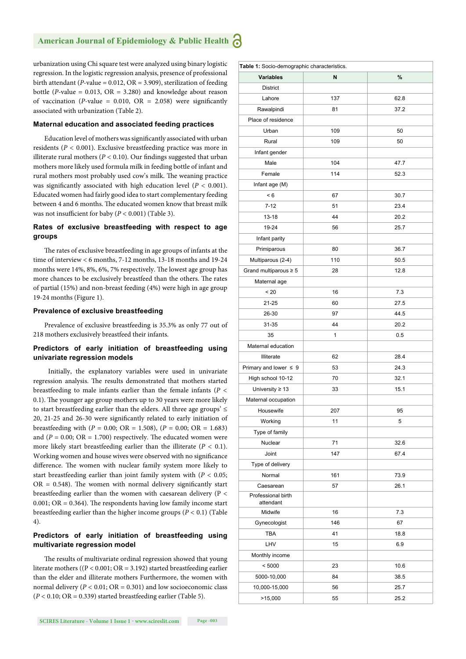urbanization using Chi square test were analyzed using binary logistic regression. In the logistic regression analysis, presence of professional birth attendant ( $P$ -value = 0.012,  $OR = 3.909$ ), sterilization of feeding bottle (*P*-value =  $0.013$ ,  $OR = 3.280$ ) and knowledge about reason of vaccination ( $P$ -value = 0.010, OR = 2.058) were significantly associated with urbanization (Table 2).

#### **Maternal education and associated feeding practices**

Education level of mothers was significantly associated with urban residents (*P <* 0.001). Exclusive breastfeeding practice was more in illiterate rural mothers ( $P < 0.10$ ). Our findings suggested that urban mothers more likely used formula milk in feeding bottle of infant and rural mothers most probably used cow's milk. The weaning practice was significantly associated with high education level  $(P < 0.001)$ . Educated women had fairly good idea to start complementary feeding between 4 and 6 months. The educated women know that breast milk was not insufficient for baby  $(P < 0.001)$  (Table 3).

#### **Rates of exclusive breastfeeding with respect to age groups**

The rates of exclusive breastfeeding in age groups of infants at the time of interview < 6 months, 7-12 months, 13-18 months and 19-24 months were 14%, 8%, 6%, 7% respectively. The lowest age group has more chances to be exclusively breastfeed than the others. The rates of partial (15%) and non-breast feeding (4%) were high in age group 19-24 months (Figure 1).

#### **Prevalence of exclusive breastfeeding**

Prevalence of exclusive breastfeeding is 35.3% as only 77 out of 218 mothers exclusively breastfeed their infants.

#### **Predictors of early initiation of breastfeeding using univariate regression models**

Initially, the explanatory variables were used in univariate regression analysis. The results demonstrated that mothers started breastfeeding to male infants earlier than the female infants (*P <*  0.1). The younger age group mothers up to 30 years were more likely to start breastfeeding earlier than the elders. All three age groups'  $\leq$ 20, 21-25 and 26-30 were significantly related to early initiation of breastfeeding with (*P* = 0.00; OR = 1.508), (*P =* 0.00; OR = 1.683) and  $(P = 0.00; \text{ OR} = 1.700)$  respectively. The educated women were more likely start breastfeeding earlier than the illiterate  $(P < 0.1)$ . Working women and house wives were observed with no significance difference. The women with nuclear family system more likely to start breastfeeding earlier than joint family system with (*P <* 0.05;  $OR = 0.548$ ). The women with normal delivery significantly start breastfeeding earlier than the women with caesarean delivery (P <  $0.001$ ; OR = 0.364). The respondents having low family income start breastfeeding earlier than the higher income groups (*P <* 0.1) (Table 4).

#### **Predictors of early initiation of breastfeeding using multivariate regression model**

The results of multivariate ordinal regression showed that young literate mothers ((P < 0.001; OR = 3.192) started breastfeeding earlier than the elder and illiterate mothers Furthermore, the women with normal delivery  $(P < 0.01; \text{OR} = 0.301)$  and low socioeconomic class  $(P < 0.10; \text{OR} = 0.339)$  started breastfeeding earlier (Table 5).

| Table 1: Socio-demographic characteristics. |     |      |  |  |
|---------------------------------------------|-----|------|--|--|
| Variables                                   | N   | %    |  |  |
| <b>District</b>                             |     |      |  |  |
| Lahore                                      | 137 | 62.8 |  |  |
| Rawalpindi                                  | 81  | 37.2 |  |  |
| Place of residence                          |     |      |  |  |
| Urban                                       | 109 | 50   |  |  |
| Rural                                       | 109 | 50   |  |  |
| Infant gender                               |     |      |  |  |
| Male                                        | 104 | 47.7 |  |  |
| Female                                      | 114 | 52.3 |  |  |
| Infant age (M)                              |     |      |  |  |
| < 6                                         | 67  | 30.7 |  |  |
| $7 - 12$                                    | 51  | 23.4 |  |  |
| 13-18                                       | 44  | 20.2 |  |  |
| 19-24                                       | 56  | 25.7 |  |  |
| Infant parity                               |     |      |  |  |
| Primiparous                                 | 80  | 36.7 |  |  |
| Multiparous (2-4)                           | 110 | 50.5 |  |  |
| Grand multiparous $\geq 5$                  | 28  | 12.8 |  |  |
| Maternal age                                |     |      |  |  |
| < 20                                        | 16  | 7.3  |  |  |
| 21-25                                       | 60  | 27.5 |  |  |
| 26-30                                       | 97  | 44.5 |  |  |
| 31-35                                       | 44  | 20.2 |  |  |
| 35                                          | 1   | 0.5  |  |  |
| Maternal education                          |     |      |  |  |
| Illiterate                                  | 62  | 28.4 |  |  |
| Primary and lower $\leq 9$                  | 53  | 24.3 |  |  |
| High school 10-12                           | 70  | 32.1 |  |  |
| University $\geq 13$                        | 33  | 15.1 |  |  |
| Maternal occupation                         |     |      |  |  |
| Housewife                                   | 207 | 95   |  |  |
| Working                                     | 11  | 5    |  |  |
| Type of family                              |     |      |  |  |
| Nuclear                                     | 71  | 32.6 |  |  |
| Joint                                       | 147 | 67.4 |  |  |
| Type of delivery                            |     |      |  |  |
| Normal                                      | 161 | 73.9 |  |  |
| Caesarean                                   | 57  | 26.1 |  |  |
| Professional birth<br>attendant             |     |      |  |  |
| Midwife                                     | 16  | 7.3  |  |  |
| Gynecologist                                | 146 | 67   |  |  |
| <b>TBA</b>                                  | 41  | 18.8 |  |  |
| LHV                                         | 15  | 6.9  |  |  |
| Monthly income                              |     |      |  |  |
| < 5000                                      | 23  | 10.6 |  |  |
| 5000-10,000                                 | 84  | 38.5 |  |  |
| 10,000-15,000                               | 56  | 25.7 |  |  |
| >15,000                                     | 55  | 25.2 |  |  |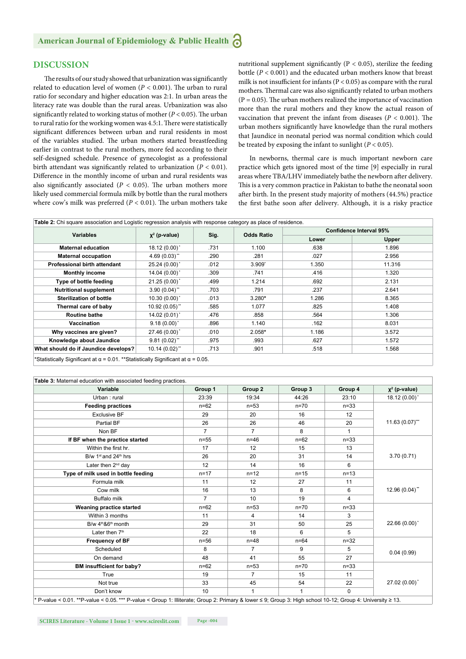## **DISCUSSION**

The results of our study showed that urbanization was significantly related to education level of women ( $P < 0.001$ ). The urban to rural ratio for secondary and higher education was 2:1. In urban areas the literacy rate was double than the rural areas. Urbanization was also significantly related to working status of mother ( $P < 0.05$ ). The urban to rural ratio for the working women was 4.5:1. There were statistically significant differences between urban and rural residents in most of the variables studied. The urban mothers started breastfeeding earlier in contrast to the rural mothers, more fed according to their self-designed schedule. Presence of gynecologist as a professional birth attendant was significantly related to urbanization  $(P < 0.01)$ . Difference in the monthly income of urban and rural residents was also significantly associated ( $P < 0.05$ ). The urban mothers more likely used commercial formula milk by bottle than the rural mothers where cow's milk was preferred  $(P < 0.01)$ . The urban mothers take nutritional supplement significantly ( $P < 0.05$ ), sterilize the feeding bottle (*P* < 0.001) and the educated urban mothers know that breast milk is not insufficient for infants ( $P < 0.05$ ) as compare with the rural mothers. Thermal care was also significantly related to urban mothers  $(P = 0.05)$ . The urban mothers realized the importance of vaccination more than the rural mothers and they know the actual reason of vaccination that prevent the infant from diseases ( $P < 0.001$ ). The urban mothers significantly have knowledge than the rural mothers that Jaundice in neonatal period was normal condition which could be treated by exposing the infant to sunlight  $(P < 0.05)$ .

In newborns, thermal care is much important newborn care practice which gets ignored most of the time [9] especially in rural areas where TBA/LHV immediately bathe the newborn after delivery. This is a very common practice in Pakistan to bathe the neonatal soon after birth. In the present study majority of mothers (44.5%) practice the first bathe soon after delivery. Although, it is a risky practice

| Table 2: Chi square association and Logistic regression analysis with response category as place of residence. |                   |      |                   |                         |              |  |
|----------------------------------------------------------------------------------------------------------------|-------------------|------|-------------------|-------------------------|--------------|--|
| <b>Variables</b>                                                                                               | $x^2$ (p-value)   | Sig. | <b>Odds Ratio</b> | Confidence Interval 95% |              |  |
|                                                                                                                |                   |      |                   | Lower                   | <b>Upper</b> |  |
| <b>Maternal education</b>                                                                                      | 18.12 (0.00)*     | .731 | 1.100             | .638                    | 1.896        |  |
| <b>Maternal occupation</b>                                                                                     | $4.69(0.03)$ "    | .290 | .281              | .027                    | 2.956        |  |
| <b>Professional birth attendant</b>                                                                            | 25.24 (0.00)*     | .012 | $3.909*$          | 1.350                   | 11.316       |  |
| <b>Monthly income</b>                                                                                          | $14.04(0.00)^{*}$ | .309 | .741              | .416                    | 1.320        |  |
| Type of bottle feeding                                                                                         | $21.25(0.00)^{*}$ | .499 | 1.214             | .692                    | 2.131        |  |
| <b>Nutritional supplement</b>                                                                                  | $3.90(0.04)$ "    | .703 | .791              | .237                    | 2.641        |  |
| <b>Sterilization of bottle</b>                                                                                 | $10.30(0.00)^{*}$ | .013 | $3.280*$          | 1.286                   | 8.365        |  |
| Thermal care of baby                                                                                           | $10.92(0.05)$ **  | .585 | 1.077             | .825                    | 1.408        |  |
| <b>Routine bathe</b>                                                                                           | $14.02(0.01)^{*}$ | .476 | .858              | .564                    | 1.306        |  |
| Vaccination                                                                                                    | $9.18(0.00)^*$    | .896 | 1.140             | .162                    | 8.031        |  |
| Why vaccines are given?                                                                                        | 27.46 (0.00)*     | .010 | $2.058*$          | 1.186                   | 3.572        |  |
| Knowledge about Jaundice                                                                                       | $9.81(0.02)$ **   | .975 | .993              | .627                    | 1.572        |  |
| What should do if Jaundice develops?                                                                           | $10.14(0.02)$ **  | .713 | .901              | .518                    | 1.568        |  |
| $*$ Chatiatically: Cianificant at $\alpha = 0.04$ , $*$ *Chatiatically: Cianificant at $\alpha = 0.05$         |                   |      |                   |                         |              |  |

Statistically Significant at α = 0.01. \*\*Statistically Significant at α = 0.05

| Variable                                   | Group 1        | Group 2        | Group 3  | Group 4  | $\chi^2$ (p-value) |  |
|--------------------------------------------|----------------|----------------|----------|----------|--------------------|--|
| Urban: rural                               | 23:39          | 19:34          | 44:26    | 23:10    | $18.12(0.00)^*$    |  |
| <b>Feeding practices</b>                   | $n = 62$       | $n=53$         | $n=70$   | $n=33$   | $11.63(0.07)$ ***  |  |
| <b>Exclusive BF</b>                        | 29             | 20             | 16       | 12       |                    |  |
| Partial BF                                 | 26             | 26             | 46       | 20       |                    |  |
| Non BF                                     | $\overline{7}$ | $\overline{7}$ | 8        | 1        |                    |  |
| If BF when the practice started            | $n = 55$       | $n=46$         | $n = 62$ | $n=33$   |                    |  |
| Within the first hr.                       | 17             | 12             | 15       | 13       |                    |  |
| B/w 1st and 24 <sup>th</sup> hrs           | 26             | 20             | 31       | 14       | 3.70(0.71)         |  |
| Later then 2 <sup>nd</sup> day             | 12             | 14             | 16       | 6        |                    |  |
| Type of milk used in bottle feeding        | $n = 17$       | $n = 12$       | $n = 15$ | $n=13$   |                    |  |
| Formula milk                               | 11             | 12             | 27       | 11       | $12.96(0.04)$ "    |  |
| Cow milk                                   | 16             | 13             | 8        | 6        |                    |  |
| <b>Buffalo milk</b>                        | $\overline{7}$ | 10             | 19       | 4        |                    |  |
| <b>Weaning practice started</b>            | $n = 62$       | $n=53$         | $n = 70$ | $n=33$   | 22.66 (0.00)*      |  |
| Within 3 months                            | 11             | 4              | 14       | 3        |                    |  |
| B/w 4 <sup>th</sup> &6 <sup>th</sup> month | 29             | 31             | 50       | 25       |                    |  |
| Later then 7 <sup>th</sup>                 | 22             | 18             | 6        | 5        |                    |  |
| <b>Frequency of BF</b>                     | $n=56$         | $n = 48$       | $n = 64$ | $n=32$   |                    |  |
| Scheduled                                  | 8              | 7              | 9        | 5        | 0.04(0.99)         |  |
| On demand                                  | 48             | 41             | 55       | 27       |                    |  |
| BM insufficient for baby?                  | $n=62$         | $n=53$         | $n = 70$ | $n=33$   |                    |  |
| True                                       | 19             | $\overline{7}$ | 15       | 11       | $27.02(0.00)^*$    |  |
| Not true                                   | 33             | 45             | 54       | 22       |                    |  |
| Don't know                                 | 10             |                |          | $\Omega$ |                    |  |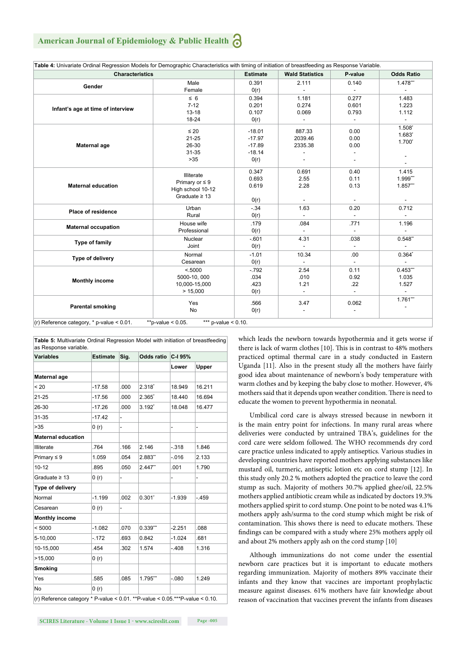## **American Journal of Epidemiology & Public Health**

| Table 4: Univariate Ordinal Regression Models for Demographic Characteristics with timing of initiation of breastfeeding as Response Variable. |                                                                              |                                                      |                                                     |                                                     |                                                     |
|------------------------------------------------------------------------------------------------------------------------------------------------|------------------------------------------------------------------------------|------------------------------------------------------|-----------------------------------------------------|-----------------------------------------------------|-----------------------------------------------------|
| <b>Characteristics</b>                                                                                                                         |                                                                              | <b>Estimate</b>                                      | <b>Wald Statistics</b>                              | P-value                                             | <b>Odds Ratio</b>                                   |
| Gender                                                                                                                                         | Male<br>Female                                                               | 0.391<br>O(r)                                        | 2.111                                               | 0.140                                               | 1.478***                                            |
| Infant's age at time of interview                                                                                                              | $\leq 6$<br>$7 - 12$<br>$13 - 18$<br>18-24                                   | 0.394<br>0.201<br>0.107<br>O(r)                      | 1.181<br>0.274<br>0.069<br>$\overline{\phantom{a}}$ | 0.277<br>0.601<br>0.793<br>$\overline{\phantom{a}}$ | 1.483<br>1.223<br>1.112<br>$\overline{\phantom{a}}$ |
| Maternal age                                                                                                                                   | $\leq 20$<br>$21 - 25$<br>26-30<br>31-35<br>$>35$                            | $-18.01$<br>$-17.97$<br>$-17.89$<br>$-18.14$<br>O(r) | 887.33<br>2039.46<br>2335.38                        | 0.00<br>0.00<br>0.00                                | 1.508*<br>1.683*<br>$1.700*$                        |
| <b>Maternal education</b>                                                                                                                      | Illiterate<br>Primary or $\leq 9$<br>High school 10-12<br>Graduate $\geq 13$ | 0.347<br>0.693<br>0.619<br>O(r)                      | 0.691<br>2.55<br>2.28                               | 0.40<br>0.11<br>0.13                                | 1.415<br>1.999***<br>1.857***                       |
| <b>Place of residence</b>                                                                                                                      | Urban<br>Rural                                                               | $-.34$<br>O(r)                                       | 1.63<br>$\mathbf{r}$                                | 0.20<br>$\mathcal{L}_{\mathcal{A}}$                 | 0.712<br>$\overline{\phantom{a}}$                   |
| <b>Maternal occupation</b>                                                                                                                     | House wife<br>Professional                                                   | .179<br>O(r)                                         | .084<br>÷,                                          | .771                                                | 1.196                                               |
| Type of family                                                                                                                                 | Nuclear<br>Joint                                                             | $-.601$<br>O(r)                                      | 4.31<br>$\overline{\phantom{a}}$                    | .038<br>$\overline{\phantom{a}}$                    | 0.548"                                              |
| Type of delivery                                                                                                                               | Normal<br>Cesarean                                                           | $-1.01$<br>O(r)                                      | 10.34<br>÷.                                         | .00                                                 | $0.364*$<br>$\mathcal{L}^{\pm}$                     |
| <b>Monthly income</b>                                                                                                                          | < 5000<br>5000-10, 000<br>10,000-15,000<br>> 15,000                          | $-.792$<br>.034<br>.423<br>O(r)                      | 2.54<br>.010<br>1.21                                | 0.11<br>0.92<br>.22                                 | $0.453***$<br>1.035<br>1.527                        |
| <b>Parental smoking</b>                                                                                                                        | Yes<br>No                                                                    | .566<br>O(r)                                         | 3.47<br>$\overline{a}$                              | 0.062                                               | $1.761***$<br>$\overline{\phantom{a}}$              |

**Table 5:** Multivariate Ordinal Regression Model with initiation of breastfeeding as Response variable. **Variables Estimate Sig. Odds ratio C-I 95% Lower Upper Maternal age** < 20 -17.58 .000 2.318**\*** 18.949 16.211 21-25 -17.56 .000 2.365**\*** 18.440 16.694 26-30 -17.26 .000 3.192**\*** 18.048 16.477 31-35 -17.42 - >35 0 (r) - - - **Maternal education** Illiterate .764 .166 2.146 -.318 1.846 Primary ≤ 9 1.059 .054 2.883**\*\*** -.016 2.133 10-12 .895 .050 2.447**\*\*** .001 1.790 Graduate  $\geq 13$  0 (r) **Type of delivery** Normal -1.199 .002 0.301**\*** -1.939 -.459 Cesarean 0 (r) **Monthly income** < 5000 -1.082 .070 0.339**\*\*\*** -2.251 .088 5-10,000 -.172 .693 0.842 -1.024 .681 10-15,000 .454 .302 1.574 -.408 1.316  $>15,000$  0 (r) **Smoking** Yes .585 .085 1.795**\*\*\*** -.080 1.249  $N<sub>O</sub>$  (r) (r) Reference category \* P-value < 0.01. \*\*P-value < 0.05.\*\*\*P-value < 0.10.

which leads the newborn towards hypothermia and it gets worse if there is lack of warm clothes [10]. This is in contrast to 48% mothers practiced optimal thermal care in a study conducted in Eastern Uganda [11]. Also in the present study all the mothers have fairly good idea about maintenance of newborn's body temperature with warm clothes and by keeping the baby close to mother. However, 4% mothers said that it depends upon weather condition. There is need to educate the women to prevent hypothermia in neonatal.

Umbilical cord care is always stressed because in newborn it is the main entry point for infections. In many rural areas where deliveries were conducted by untrained TBA's, guidelines for the cord care were seldom followed. The WHO recommends dry cord care practice unless indicated to apply antiseptics. Various studies in developing countries have reported mothers applying substances like mustard oil, turmeric, antiseptic lotion etc on cord stump [12]. In this study only 20.2 % mothers adopted the practice to leave the cord stump as such. Majority of mothers 30.7% applied ghee/oil, 22.5% mothers applied antibiotic cream while as indicated by doctors 19.3% mothers applied spirit to cord stump. One point to be noted was 4.1% mothers apply ash/surma to the cord stump which might be risk of contamination. This shows there is need to educate mothers. These findings can be compared with a study where 25% mothers apply oil and about 2% mothers apply ash on the cord stump [10]

Although immunizations do not come under the essential newborn care practices but it is important to educate mothers regarding immunization. Majority of mothers 89% vaccinate their infants and they know that vaccines are important prophylactic measure against diseases. 61% mothers have fair knowledge about reason of vaccination that vaccines prevent the infants from diseases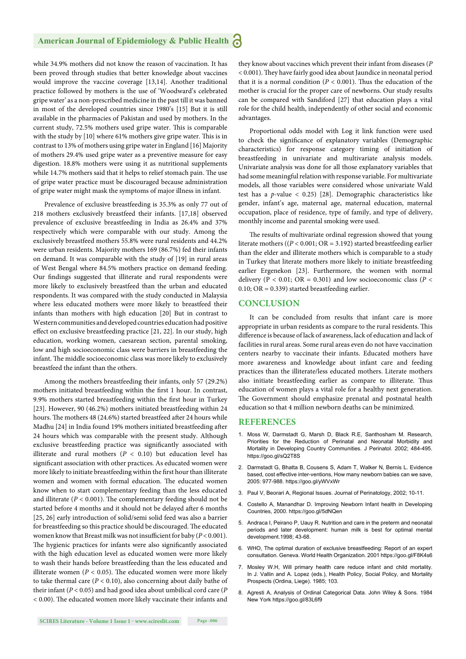while 34.9% mothers did not know the reason of vaccination. It has been proved through studies that better knowledge about vaccines would improve the vaccine coverage [13,14]. Another traditional practice followed by mothers is the use of 'Woodward's celebrated gripe water' as a non-prescribed medicine in the past till it was banned in most of the developed countries since 1980's [15] But it is still available in the pharmacies of Pakistan and used by mothers. In the current study, 72.5% mothers used gripe water. This is comparable with the study by  $[10]$  where 61% mothers give gripe water. This is in contrast to 13% of mothers using gripe water in England [16] Majority of mothers 29.4% used gripe water as a preventive measure for easy digestion. 18.8% mothers were using it as nutritional supplements while 14.7% mothers said that it helps to relief stomach pain. The use of gripe water practice must be discouraged because administration of gripe water might mask the symptoms of major illness in infant.

Prevalence of exclusive breastfeeding is 35.3% as only 77 out of 218 mothers exclusively breastfeed their infants. [17,18] observed prevalence of exclusive breastfeeding in India as 26.4% and 37% respectively which were comparable with our study. Among the exclusively breastfeed mothers 55.8% were rural residents and 44.2% were urban residents. Majority mothers 169 (86.7%) fed their infants on demand. It was comparable with the study of [19] in rural areas of West Bengal where 84.5% mothers practice on demand feeding. Our findings suggested that illiterate and rural respondents were more likely to exclusively breastfeed than the urban and educated respondents. It was compared with the study conducted in Malaysia where less educated mothers were more likely to breastfeed their infants than mothers with high education [20] But in contrast to Western communities and developed countries education had positive effect on exclusive breastfeeding practice [21, 22]. In our study, high education, working women, caesarean section, parental smoking, low and high socioeconomic class were barriers in breastfeeding the infant. The middle socioeconomic class was more likely to exclusively breastfeed the infant than the others.

Among the mothers breastfeeding their infants, only 57 (29.2%) mothers initiated breastfeeding within the first 1 hour. In contrast, 9.9% mothers started breastfeeding within the first hour in Turkey [23]. However, 90 (46.2%) mothers initiated breastfeeding within 24 hours. The mothers 48 (24.6%) started breastfeed after 24 hours while Madhu [24] in India found 19% mothers initiated breastfeeding after 24 hours which was comparable with the present study. Although exclusive breastfeeding practice was significantly associated with illiterate and rural mothers  $(P < 0.10)$  but education level has significant association with other practices. As educated women were more likely to initiate breastfeeding within the first hour than illiterate women and women with formal education. The educated women know when to start complementary feeding than the less educated and illiterate  $(P < 0.001)$ . The complementary feeding should not be started before 4 months and it should not be delayed after 6 months [25, 26] early introduction of solid/semi solid feed was also a barrier for breastfeeding so this practice should be discouraged. The educated women know that Breast milk was not insufficient for baby  $(P < 0.001)$ . The hygienic practices for infants were also significantly associated with the high education level as educated women were more likely to wash their hands before breastfeeding than the less educated and illiterate women ( $P < 0.05$ ). The educated women were more likely to take thermal care  $(P < 0.10)$ , also concerning about daily bathe of their infant (*P* < 0.05) and had good idea about umbilical cord care (*P*  $<$  0.00). The educated women more likely vaccinate their infants and

they know about vaccines which prevent their infant from diseases (*P* < 0.001). They have fairly good idea about Jaundice in neonatal period that it is a normal condition ( $P < 0.001$ ). Thus the education of the mother is crucial for the proper care of newborns. Our study results can be compared with Sandiford [27] that education plays a vital role for the child health, independently of other social and economic advantages.

Proportional odds model with Log it link function were used to check the significance of explanatory variables (Demographic characteristics) for response category timing of initiation of breastfeeding in univariate and multivariate analysis models. Univariate analysis was done for all those explanatory variables that had some meaningful relation with response variable. For multivariate models, all those variables were considered whose univariate Wald test has a *p*-value < 0.25) [28]. Demographic characteristics like gender, infant's age, maternal age, maternal education, maternal occupation, place of residence, type of family, and type of delivery, monthly income and parental smoking were used.

The results of multivariate ordinal regression showed that young literate mothers ((*P* < 0.001; OR = 3.192) started breastfeeding earlier than the elder and illiterate mothers which is comparable to a study in Turkey that literate mothers more likely to initiate breastfeeding earlier Ergenekon [23]. Furthermore, the women with normal delivery ( $P < 0.01$ ; OR = 0.301) and low socioeconomic class ( $P <$ 0.10;  $OR = 0.339$ ) started breastfeeding earlier.

#### **CONCLUSION**

It can be concluded from results that infant care is more appropriate in urban residents as compare to the rural residents. This difference is because of lack of awareness, lack of education and lack of facilities in rural areas. Some rural areas even do not have vaccination centers nearby to vaccinate their infants. Educated mothers have more awareness and knowledge about infant care and feeding practices than the illiterate/less educated mothers. Literate mothers also initiate breastfeeding earlier as compare to illiterate. Thus education of women plays a vital role for a healthy next generation. The Government should emphasize prenatal and postnatal health education so that 4 million newborn deaths can be minimized.

#### **REFERENCES**

- 1. Moss W, Darmstadt G, Marsh D, Black R.E, Santhosham M. Research, Priorities for the Reduction of Perinatal and Neonatal Morbidity and Mortality in Developing Country Communities. J Perinatol. 2002; 484-495. https://goo.gl/sQ2T8S
- 2. Darmstadt G, Bhatta B, Cousens S, Adam T, Walker N, Bernis L. Evidence based, cost effective inter-ventions, How many newborn babies can we save, 2005: 977-988. https://goo.gl/yWVxWr
- 3. Paul V, Beorari A, Regional Issues. Journal of Perinatology, 2002; 10-11.
- 4. Costello A, Manandhar D. Improving Newborn Infant health in Developing Countries, 2000. https://goo.gl/5dNQen
- 5. Andraca I, Peirano P, Uauy R. Nutrition and care in the preterm and neonatal periods and later development: human milk is best for optimal mental development.1998; 43-68.
- 6. WHO, The optimal duration of exclusive breastfeeding: Report of an expert consultation. Geneva. World Health Organization. 2001 https://goo.gl/F8K4s6
- 7. Mosley W.H, Will primary health care reduce infant and child mortality. In J. Vallin and A. Lopez (eds.), Health Policy, Social Policy, and Mortality Prospects (Ordina, Liege). 1985; 103.
- 8. Agresti A, Analysis of Ordinal Categorical Data. John Wiley & Sons. 1984 New York https://goo.gl/83L6f9